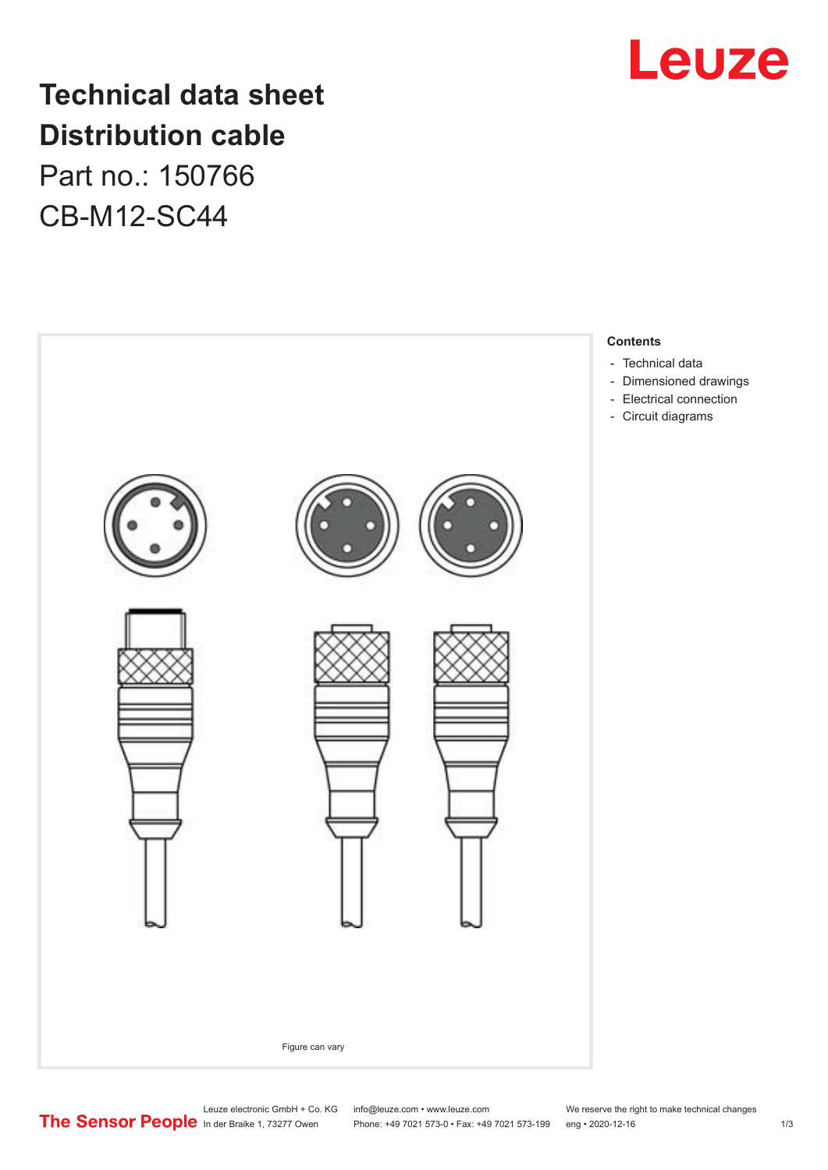

## **Technical data sheet Distribution cable**

Part no.: 150766 CB-M12-SC44



Leuze electronic GmbH + Co. KG info@leuze.com • www.leuze.com We reserve the right to make technical changes<br>
The Sensor People in der Braike 1, 73277 Owen Phone: +49 7021 573-0 • Fax: +49 7021 573-199 eng • 2020-12-16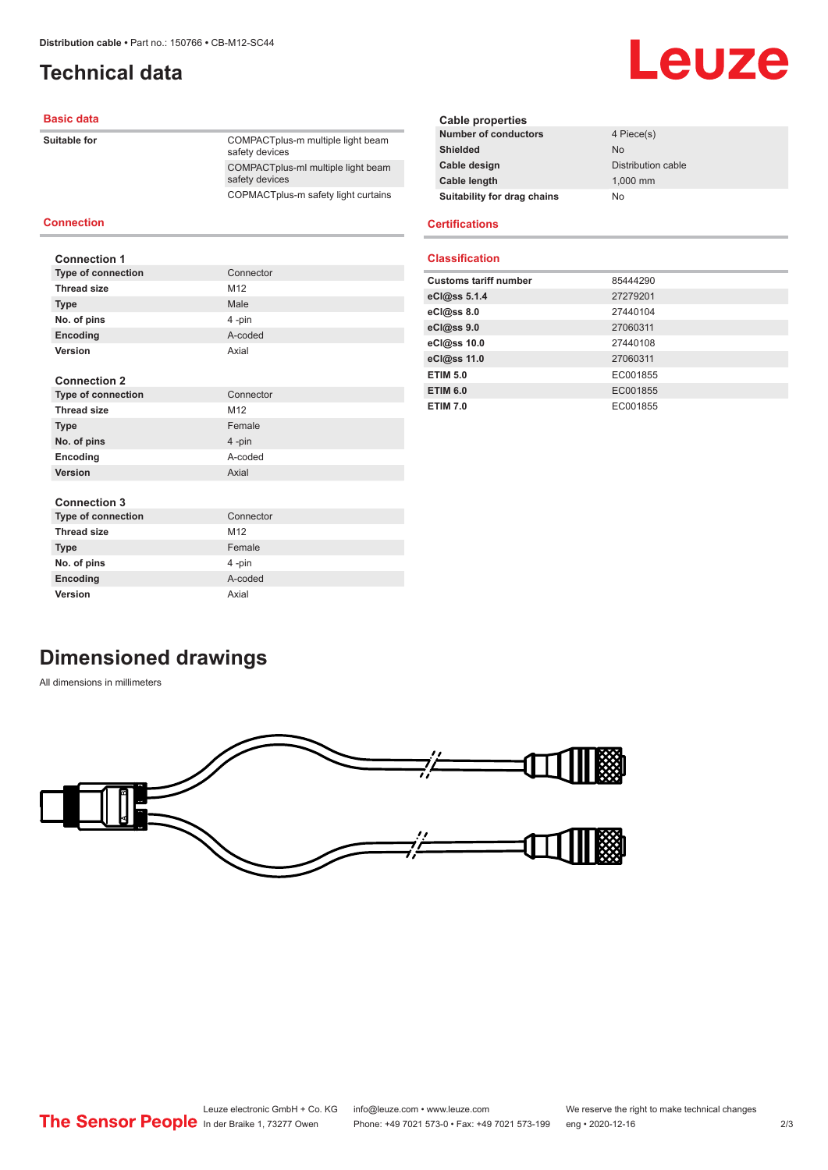**Type of connection** Connector **Thread size** M12 **Type** Male **No. of pins** 4 -pin **Encoding** A-coded **Version** Axial

## <span id="page-1-0"></span>**Technical data**

### **Basic data**

**Suitable for** 

**Connection**

**Connection 1**

|  | COMPACTplus-m multiple light beam<br>safety devices  |
|--|------------------------------------------------------|
|  | COMPACTplus-ml multiple light beam<br>safety devices |
|  | COPMACTplus-m safety light curtains                  |
|  |                                                      |

#### **Cable properties Number of conductors** 4 Piece(s) **Shielded** No. 2006 **Cable design Cable design Cable Distribution cable Cable length** 1,000 mm **Suitability for drag chains** No

Leuze

#### **Certifications**

#### **Classification**

| 85444290 |
|----------|
| 27279201 |
| 27440104 |
| 27060311 |
| 27440108 |
| 27060311 |
| EC001855 |
| EC001855 |
| EC001855 |
|          |

## **Connection 2**

| <b>Type of connection</b> | Connector |
|---------------------------|-----------|
| <b>Thread size</b>        | M12       |
| <b>Type</b>               | Female    |
| No. of pins               | 4-pin     |
| Encoding                  | A-coded   |
| Version                   | Axial     |

### **Connection 3**

| vviilvvuvil v             |                 |
|---------------------------|-----------------|
| <b>Type of connection</b> | Connector       |
| <b>Thread size</b>        | M <sub>12</sub> |
| <b>Type</b>               | Female          |
| No. of pins               | 4-pin           |
| Encoding                  | A-coded         |
| <b>Version</b>            | Axial           |

## **Dimensioned drawings**

All dimensions in millimeters